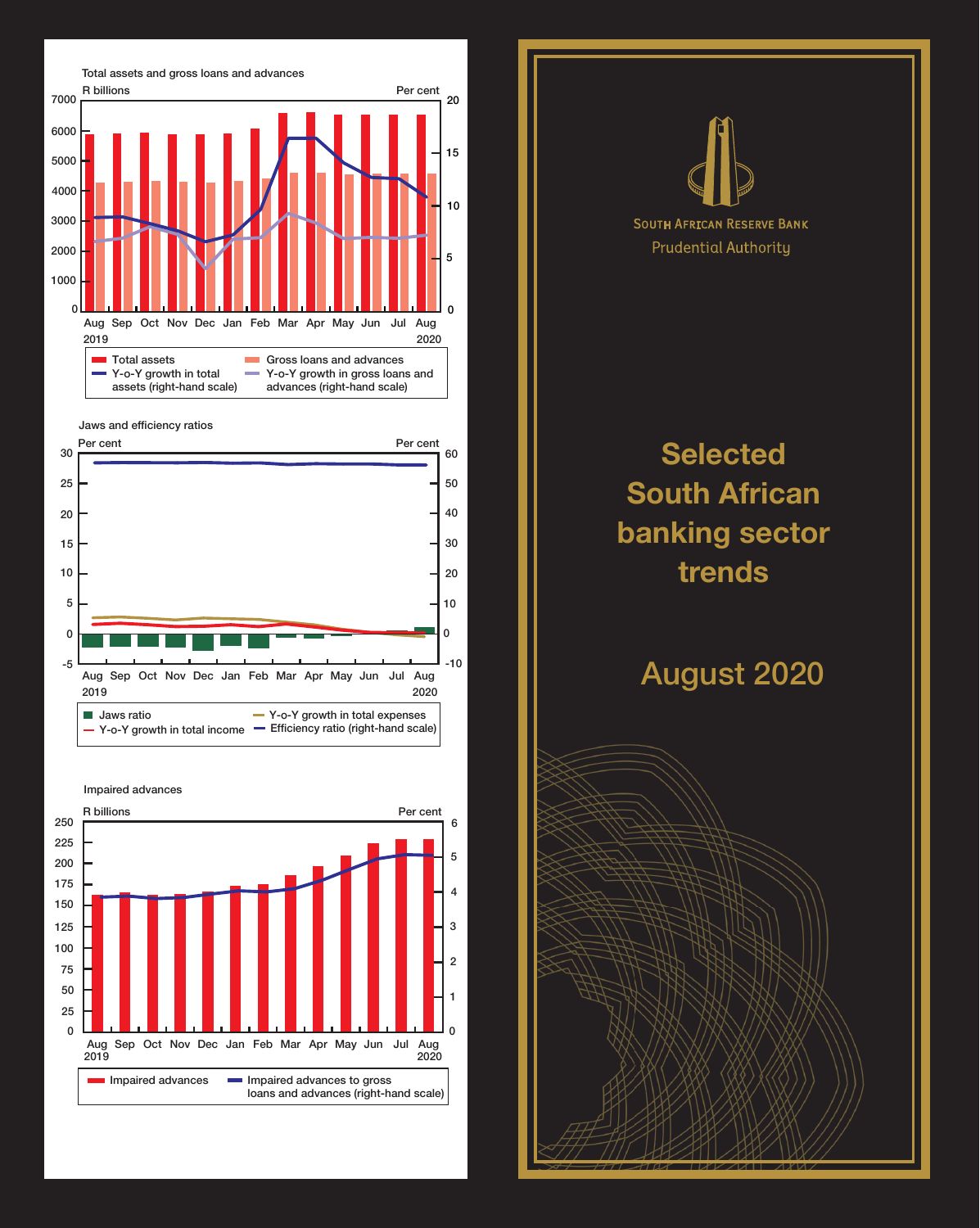